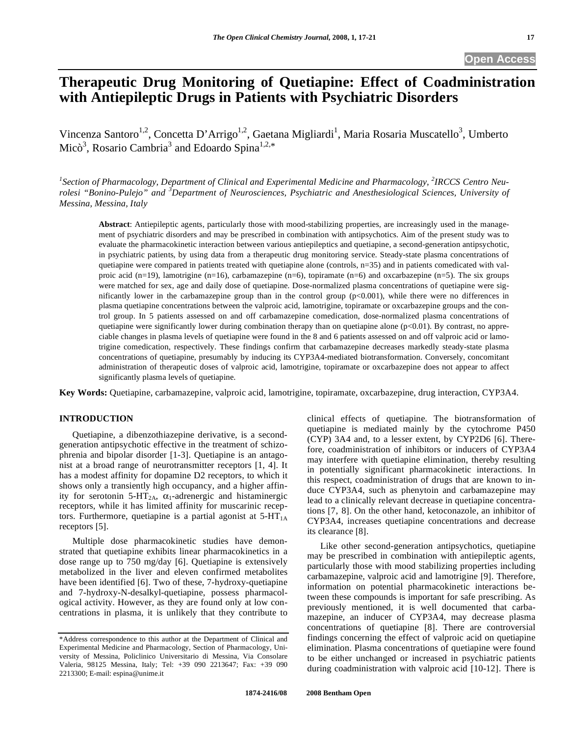# **Therapeutic Drug Monitoring of Quetiapine: Effect of Coadministration with Antiepileptic Drugs in Patients with Psychiatric Disorders**

Vincenza Santoro<sup>1,2</sup>, Concetta D'Arrigo<sup>1,2</sup>, Gaetana Migliardi<sup>1</sup>, Maria Rosaria Muscatello<sup>3</sup>, Umberto Micò<sup>3</sup>, Rosario Cambria<sup>3</sup> and Edoardo Spina<sup>1,2,\*</sup>

<sup>1</sup> Section of Pharmacology, Department of Clinical and Experimental Medicine and Pharmacology, <sup>2</sup>IRCCS Centro Neu*rolesi "Bonino-Pulejo" and <sup>3</sup> Department of Neurosciences, Psychiatric and Anesthesiological Sciences, University of Messina, Messina, Italy* 

**Abstract**: Antiepileptic agents, particularly those with mood-stabilizing properties, are increasingly used in the management of psychiatric disorders and may be prescribed in combination with antipsychotics. Aim of the present study was to evaluate the pharmacokinetic interaction between various antiepileptics and quetiapine, a second-generation antipsychotic, in psychiatric patients, by using data from a therapeutic drug monitoring service. Steady-state plasma concentrations of quetiapine were compared in patients treated with quetiapine alone (controls,  $n=35$ ) and in patients comedicated with valproic acid (n=19), lamotrigine (n=16), carbamazepine (n=6), topiramate (n=6) and oxcarbazepine (n=5). The six groups were matched for sex, age and daily dose of quetiapine. Dose-normalized plasma concentrations of quetiapine were significantly lower in the carbamazepine group than in the control group (p<0.001), while there were no differences in plasma quetiapine concentrations between the valproic acid, lamotrigine, topiramate or oxcarbazepine groups and the control group. In 5 patients assessed on and off carbamazepine comedication, dose-normalized plasma concentrations of quetiapine were significantly lower during combination therapy than on quetiapine alone  $(p<0.01)$ . By contrast, no appreciable changes in plasma levels of quetiapine were found in the 8 and 6 patients assessed on and off valproic acid or lamotrigine comedication, respectively. These findings confirm that carbamazepine decreases markedly steady-state plasma concentrations of quetiapine, presumably by inducing its CYP3A4-mediated biotransformation. Conversely, concomitant administration of therapeutic doses of valproic acid, lamotrigine, topiramate or oxcarbazepine does not appear to affect significantly plasma levels of quetiapine.

**Key Words:** Quetiapine, carbamazepine, valproic acid, lamotrigine, topiramate, oxcarbazepine, drug interaction, CYP3A4.

# **INTRODUCTION**

 Quetiapine, a dibenzothiazepine derivative, is a secondgeneration antipsychotic effective in the treatment of schizophrenia and bipolar disorder [1-3]. Quetiapine is an antagonist at a broad range of neurotransmitter receptors [1, 4]. It has a modest affinity for dopamine D2 receptors, to which it shows only a transiently high occupancy, and a higher affinity for serotonin 5-HT<sub>2A</sub>,  $\alpha_1$ -adrenergic and histaminergic receptors, while it has limited affinity for muscarinic receptors. Furthermore, quetiapine is a partial agonist at  $5-HT<sub>1A</sub>$ receptors [5].

 Multiple dose pharmacokinetic studies have demonstrated that quetiapine exhibits linear pharmacokinetics in a dose range up to 750 mg/day [6]. Quetiapine is extensively metabolized in the liver and eleven confirmed metabolites have been identified [6]. Two of these, 7-hydroxy-quetiapine and 7-hydroxy-N-desalkyl-quetiapine, possess pharmacological activity. However, as they are found only at low concentrations in plasma, it is unlikely that they contribute to clinical effects of quetiapine. The biotransformation of quetiapine is mediated mainly by the cytochrome P450 (CYP) 3A4 and, to a lesser extent, by CYP2D6 [6]. Therefore, coadministration of inhibitors or inducers of CYP3A4 may interfere with quetiapine elimination, thereby resulting in potentially significant pharmacokinetic interactions. In this respect, coadministration of drugs that are known to induce CYP3A4, such as phenytoin and carbamazepine may lead to a clinically relevant decrease in quetiapine concentrations [7, 8]. On the other hand, ketoconazole, an inhibitor of CYP3A4, increases quetiapine concentrations and decrease its clearance [8].

 Like other second-generation antipsychotics, quetiapine may be prescribed in combination with antiepileptic agents, particularly those with mood stabilizing properties including carbamazepine, valproic acid and lamotrigine [9]. Therefore, information on potential pharmacokinetic interactions between these compounds is important for safe prescribing. As previously mentioned, it is well documented that carbamazepine, an inducer of CYP3A4, may decrease plasma concentrations of quetiapine [8]. There are controversial findings concerning the effect of valproic acid on quetiapine elimination. Plasma concentrations of quetiapine were found to be either unchanged or increased in psychiatric patients during coadministration with valproic acid [10-12]. There is

<sup>\*</sup>Address correspondence to this author at the Department of Clinical and Experimental Medicine and Pharmacology, Section of Pharmacology, University of Messina, Policlinico Universitario di Messina, Via Consolare Valeria, 98125 Messina, Italy; Tel: +39 090 2213647; Fax: +39 090 2213300; E-mail: espina@unime.it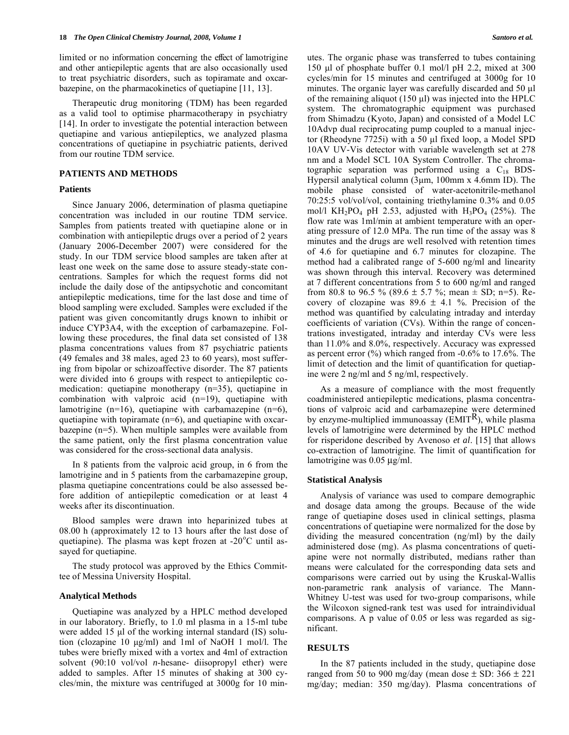limited or no information concerning the effect of lamotrigine and other antiepileptic agents that are also occasionally used to treat psychiatric disorders, such as topiramate and oxcarbazepine, on the pharmacokinetics of quetiapine [11, 13].

 Therapeutic drug monitoring (TDM) has been regarded as a valid tool to optimise pharmacotherapy in psychiatry [14]. In order to investigate the potential interaction between quetiapine and various antiepileptics, we analyzed plasma concentrations of quetiapine in psychiatric patients, derived from our routine TDM service.

# **PATIENTS AND METHODS**

# **Patients**

 Since January 2006, determination of plasma quetiapine concentration was included in our routine TDM service. Samples from patients treated with quetiapine alone or in combination with antiepileptic drugs over a period of 2 years (January 2006-December 2007) were considered for the study. In our TDM service blood samples are taken after at least one week on the same dose to assure steady-state concentrations. Samples for which the request forms did not include the daily dose of the antipsychotic and concomitant antiepileptic medications, time for the last dose and time of blood sampling were excluded. Samples were excluded if the patient was given concomitantly drugs known to inhibit or induce CYP3A4, with the exception of carbamazepine. Following these procedures, the final data set consisted of 138 plasma concentrations values from 87 psychiatric patients (49 females and 38 males, aged 23 to 60 years), most suffering from bipolar or schizoaffective disorder. The 87 patients were divided into 6 groups with respect to antiepileptic comedication: quetiapine monotherapy (n=35), quetiapine in combination with valproic acid (n=19), quetiapine with lamotrigine  $(n=16)$ , quetiapine with carbamazepine  $(n=6)$ , quetiapine with topiramate (n=6), and quetiapine with oxcarbazepine (n=5). When multiple samples were available from the same patient, only the first plasma concentration value was considered for the cross-sectional data analysis.

 In 8 patients from the valproic acid group, in 6 from the lamotrigine and in 5 patients from the carbamazepine group, plasma quetiapine concentrations could be also assessed before addition of antiepileptic comedication or at least 4 weeks after its discontinuation.

 Blood samples were drawn into heparinized tubes at 08.00 h (approximately 12 to 13 hours after the last dose of quetiapine). The plasma was kept frozen at -20 $^{\circ}$ C until assayed for quetiapine.

 The study protocol was approved by the Ethics Committee of Messina University Hospital.

# **Analytical Methods**

 Quetiapine was analyzed by a HPLC method developed in our laboratory. Briefly, to 1.0 ml plasma in a 15-ml tube were added 15 μl of the working internal standard (IS) solution (clozapine 10 μg/ml) and 1ml of NaOH 1 mol/l. The tubes were briefly mixed with a vortex and 4ml of extraction solvent (90:10 vol/vol *n*-hesane- diisopropyl ether) were added to samples. After 15 minutes of shaking at 300 cycles/min, the mixture was centrifuged at 3000g for 10 minutes. The organic phase was transferred to tubes containing 150 μl of phosphate buffer 0.1 mol/l pH 2.2, mixed at 300 cycles/min for 15 minutes and centrifuged at 3000g for 10 minutes. The organic layer was carefully discarded and 50 μl of the remaining aliquot (150 μl) was injected into the HPLC system. The chromatographic equipment was purchased from Shimadzu (Kyoto, Japan) and consisted of a Model LC 10Advp dual reciprocating pump coupled to a manual injector (Rheodyne 7725i) with a 50 μl fixed loop, a Model SPD 10AV UV-Vis detector with variable wavelength set at 278 nm and a Model SCL 10A System Controller. The chromatographic separation was performed using a  $C_{18}$  BDS-Hypersil analytical column (3μm, 100mm x 4.6mm ID). The mobile phase consisted of water-acetonitrile-methanol 70:25:5 vol/vol/vol, containing triethylamine 0.3% and 0.05 mol/l KH<sub>2</sub>PO<sub>4</sub> pH 2.53, adjusted with H<sub>3</sub>PO<sub>4</sub> (25%). The flow rate was 1ml/min at ambient temperature with an operating pressure of 12.0 MPa. The run time of the assay was 8 minutes and the drugs are well resolved with retention times of 4.6 for quetiapine and 6.7 minutes for clozapine. The method had a calibrated range of 5-600 ng/ml and linearity was shown through this interval. Recovery was determined at 7 different concentrations from 5 to 600 ng/ml and ranged from 80.8 to 96.5 % (89.6  $\pm$  5.7 %; mean  $\pm$  SD; n=5). Recovery of clozapine was  $89.6 \pm 4.1$  %. Precision of the method was quantified by calculating intraday and interday coefficients of variation (CVs). Within the range of concentrations investigated, intraday and interday CVs were less than 11.0% and 8.0%, respectively. Accuracy was expressed as percent error  $\frac{6}{9}$  which ranged from -0.6% to 17.6%. The limit of detection and the limit of quantification for quetiapine were 2 ng/ml and 5 ng/ml, respectively.

 As a measure of compliance with the most frequently coadministered antiepileptic medications, plasma concentrations of valproic acid and carbamazepine were determined by enzyme-multiplied immunoassay ( $\text{EMIT}^R$ ), while plasma levels of lamotrigine were determined by the HPLC method for risperidone described by Avenoso *et al*. [15] that allows co-extraction of lamotrigine. The limit of quantification for lamotrigine was 0.05 μg/ml.

# **Statistical Analysis**

 Analysis of variance was used to compare demographic and dosage data among the groups. Because of the wide range of quetiapine doses used in clinical settings, plasma concentrations of quetiapine were normalized for the dose by dividing the measured concentration (ng/ml) by the daily administered dose (mg). As plasma concentrations of quetiapine were not normally distributed, medians rather than means were calculated for the corresponding data sets and comparisons were carried out by using the Kruskal-Wallis non-parametric rank analysis of variance. The Mann-Whitney U-test was used for two-group comparisons, while the Wilcoxon signed-rank test was used for intraindividual comparisons. A p value of 0.05 or less was regarded as significant.

# **RESULTS**

 In the 87 patients included in the study, quetiapine dose ranged from 50 to 900 mg/day (mean dose  $\pm$  SD: 366  $\pm$  221 mg/day; median: 350 mg/day). Plasma concentrations of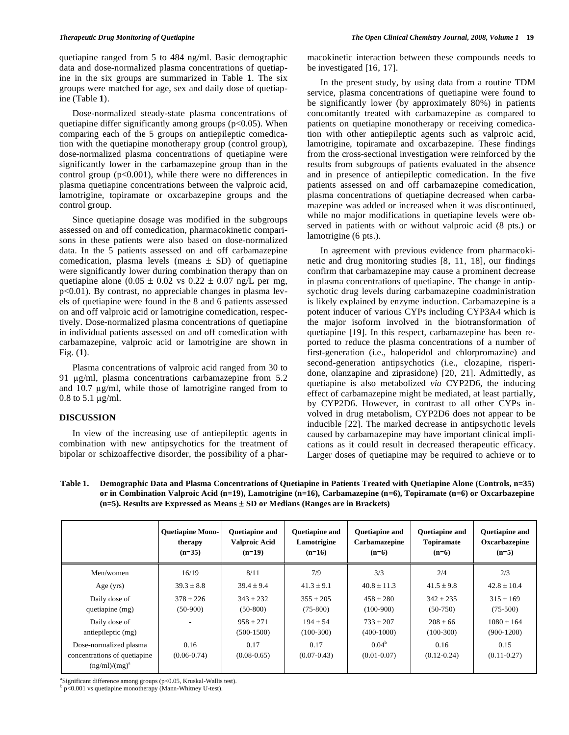quetiapine ranged from 5 to 484 ng/ml. Basic demographic data and dose-normalized plasma concentrations of quetiapine in the six groups are summarized in Table **1**. The six groups were matched for age, sex and daily dose of quetiapine (Table **1**).

 Dose-normalized steady-state plasma concentrations of quetiapine differ significantly among groups ( $p$ <0.05). When comparing each of the 5 groups on antiepileptic comedication with the quetiapine monotherapy group (control group), dose-normalized plasma concentrations of quetiapine were significantly lower in the carbamazepine group than in the control group  $(p<0.001)$ , while there were no differences in plasma quetiapine concentrations between the valproic acid, lamotrigine, topiramate or oxcarbazepine groups and the control group.

 Since quetiapine dosage was modified in the subgroups assessed on and off comedication, pharmacokinetic comparisons in these patients were also based on dose-normalized data. In the 5 patients assessed on and off carbamazepine comedication, plasma levels (means  $\pm$  SD) of quetiapine were significantly lower during combination therapy than on quetiapine alone (0.05  $\pm$  0.02 vs 0.22  $\pm$  0.07 ng/L per mg, p<0.01). By contrast, no appreciable changes in plasma levels of quetiapine were found in the 8 and 6 patients assessed on and off valproic acid or lamotrigine comedication, respectively. Dose-normalized plasma concentrations of quetiapine in individual patients assessed on and off comedication with carbamazepine, valproic acid or lamotrigine are shown in Fig. (**1**).

 Plasma concentrations of valproic acid ranged from 30 to 91 µg/ml, plasma concentrations carbamazepine from 5.2 and  $10.7 \mu g/ml$ , while those of lamotrigine ranged from to 0.8 to  $5.1 \mu g/ml$ .

#### **DISCUSSION**

 In view of the increasing use of antiepileptic agents in combination with new antipsychotics for the treatment of bipolar or schizoaffective disorder, the possibility of a pharmacokinetic interaction between these compounds needs to be investigated [16, 17].

 In the present study, by using data from a routine TDM service, plasma concentrations of quetiapine were found to be significantly lower (by approximately 80%) in patients concomitantly treated with carbamazepine as compared to patients on quetiapine monotherapy or receiving comedication with other antiepileptic agents such as valproic acid, lamotrigine, topiramate and oxcarbazepine. These findings from the cross-sectional investigation were reinforced by the results from subgroups of patients evaluated in the absence and in presence of antiepileptic comedication. In the five patients assessed on and off carbamazepine comedication, plasma concentrations of quetiapine decreased when carbamazepine was added or increased when it was discontinued, while no major modifications in quetiapine levels were observed in patients with or without valproic acid (8 pts.) or lamotrigine (6 pts.).

 In agreement with previous evidence from pharmacokinetic and drug monitoring studies [8, 11, 18], our findings confirm that carbamazepine may cause a prominent decrease in plasma concentrations of quetiapine. The change in antipsychotic drug levels during carbamazepine coadministration is likely explained by enzyme induction. Carbamazepine is a potent inducer of various CYPs including CYP3A4 which is the major isoform involved in the biotransformation of quetiapine [19]. In this respect, carbamazepine has been reported to reduce the plasma concentrations of a number of first-generation (i.e., haloperidol and chlorpromazine) and second-generation antipsychotics (i.e., clozapine, risperidone, olanzapine and ziprasidone) [20, 21]. Admittedly, as quetiapine is also metabolized *via* CYP2D6, the inducing effect of carbamazepine might be mediated, at least partially, by CYP2D6. However, in contrast to all other CYPs involved in drug metabolism, CYP2D6 does not appear to be inducible [22]. The marked decrease in antipsychotic levels caused by carbamazepine may have important clinical implications as it could result in decreased therapeutic efficacy. Larger doses of quetiapine may be required to achieve or to

**Table 1. Demographic Data and Plasma Concentrations of Quetiapine in Patients Treated with Quetiapine Alone (Controls, n=35) or in Combination Valproic Acid (n=19), Lamotrigine (n=16), Carbamazepine (n=6), Topiramate (n=6) or Oxcarbazepine (n=5). Results are Expressed as Means** ± **SD or Medians (Ranges are in Brackets)** 

|                                                                              | <b>Ouetiapine Mono-</b>  | <b>Quetiapine and</b>   | <b>Ouetiapine and</b>   | <b>Ouetiapine and</b>                | <b>Ouetiapine and</b>   | <b>Ouetiapine and</b>   |
|------------------------------------------------------------------------------|--------------------------|-------------------------|-------------------------|--------------------------------------|-------------------------|-------------------------|
|                                                                              | therapy                  | <b>Valproic Acid</b>    | Lamotrigine             | Carbamazepine                        | <b>Topiramate</b>       | Oxcarbazepine           |
|                                                                              | $(n=35)$                 | $(n=19)$                | $(n=16)$                | $(n=6)$                              | $(n=6)$                 | $(n=5)$                 |
| Men/women                                                                    | 16/19                    | 8/11                    | 7/9                     | 3/3                                  | 2/4                     | 2/3                     |
| Age $(yrs)$                                                                  | $39.3 \pm 8.8$           | $39.4 \pm 9.4$          | $41.3 \pm 9.1$          | $40.8 \pm 11.3$                      | $41.5 \pm 9.8$          | $42.8 \pm 10.4$         |
| Daily dose of                                                                | $378 + 226$              | $343 \pm 232$           | $355 \pm 205$           | $458 \pm 280$                        | $342 \pm 235$           | $315 \pm 169$           |
| quetiapine (mg)                                                              | $(50-900)$               | $(50-800)$              | $(75-800)$              | $(100-900)$                          | $(50-750)$              | $(75-500)$              |
| Daily dose of                                                                | $\overline{\phantom{a}}$ | $958 + 271$             | $194 + 54$              | $733 + 207$                          | $208 + 66$              | $1080 + 164$            |
| antiepileptic (mg)                                                           |                          | $(500-1500)$            | $(100-300)$             | $(400-1000)$                         | $(100-300)$             | $(900-1200)$            |
| Dose-normalized plasma<br>concentrations of quetiapine<br>$(ng/ml)/(mg)^{a}$ | 0.16<br>$(0.06 - 0.74)$  | 0.17<br>$(0.08 - 0.65)$ | 0.17<br>$(0.07 - 0.43)$ | 0.04 <sup>b</sup><br>$(0.01 - 0.07)$ | 0.16<br>$(0.12 - 0.24)$ | 0.15<br>$(0.11 - 0.27)$ |

a Significant difference among groups (p<0.05, Kruskal-Wallis test).

 $b$  p<0.001 vs quetiapine monotherapy (Mann-Whitney U-test).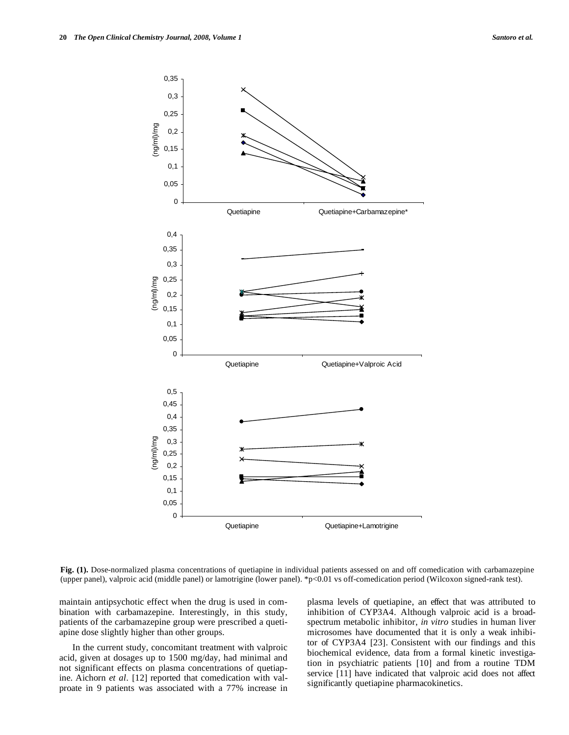

**Fig. (1).** Dose-normalized plasma concentrations of quetiapine in individual patients assessed on and off comedication with carbamazepine (upper panel), valproic acid (middle panel) or lamotrigine (lower panel). \*p<0.01 vs off-comedication period (Wilcoxon signed-rank test).

maintain antipsychotic effect when the drug is used in combination with carbamazepine. Interestingly, in this study, patients of the carbamazepine group were prescribed a quetiapine dose slightly higher than other groups.

 In the current study, concomitant treatment with valproic acid, given at dosages up to 1500 mg/day, had minimal and not significant effects on plasma concentrations of quetiapine. Aichorn *et al*. [12] reported that comedication with valproate in 9 patients was associated with a 77% increase in plasma levels of quetiapine, an effect that was attributed to inhibition of CYP3A4. Although valproic acid is a broadspectrum metabolic inhibitor, *in vitro* studies in human liver microsomes have documented that it is only a weak inhibitor of CYP3A4 [23]. Consistent with our findings and this biochemical evidence, data from a formal kinetic investigation in psychiatric patients [10] and from a routine TDM service [11] have indicated that valproic acid does not affect significantly quetiapine pharmacokinetics.